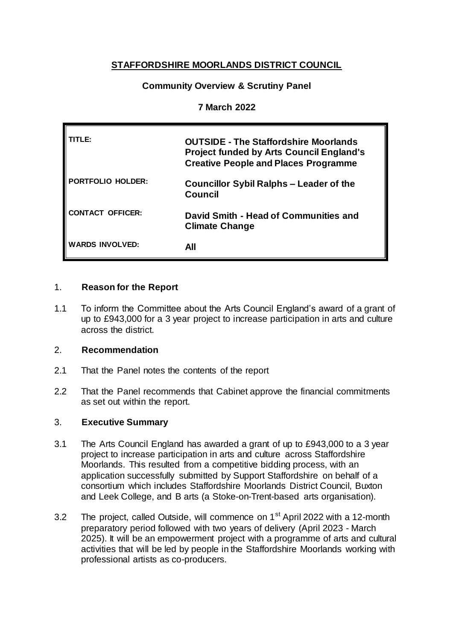# **STAFFORDSHIRE MOORLANDS DISTRICT COUNCIL**

# **Community Overview & Scrutiny Panel**

## **7 March 2022**

| TITL F:                  | <b>OUTSIDE - The Staffordshire Moorlands</b><br><b>Project funded by Arts Council England's</b><br><b>Creative People and Places Programme</b> |
|--------------------------|------------------------------------------------------------------------------------------------------------------------------------------------|
| <b>PORTFOLIO HOLDER:</b> | <b>Councillor Sybil Ralphs – Leader of the</b><br><b>Council</b>                                                                               |
| <b>CONTACT OFFICER:</b>  | David Smith - Head of Communities and<br><b>Climate Change</b>                                                                                 |
| <b>WARDS INVOLVED:</b>   | All                                                                                                                                            |

### 1. **Reason for the Report**

1.1 To inform the Committee about the Arts Council England's award of a grant of up to £943,000 for a 3 year project to increase participation in arts and culture across the district.

## 2. **Recommendation**

- 2.1 That the Panel notes the contents of the report
- 2.2 That the Panel recommends that Cabinet approve the financial commitments as set out within the report.

# 3. **Executive Summary**

- 3.1 The Arts Council England has awarded a grant of up to £943,000 to a 3 year project to increase participation in arts and culture across Staffordshire Moorlands. This resulted from a competitive bidding process, with an application successfully submitted by Support Staffordshire on behalf of a consortium which includes Staffordshire Moorlands District Council, Buxton and Leek College, and B arts (a Stoke-on-Trent-based arts organisation).
- 3.2 The project, called Outside, will commence on 1<sup>st</sup> April 2022 with a 12-month preparatory period followed with two years of delivery (April 2023 - March 2025). It will be an empowerment project with a programme of arts and cultural activities that will be led by people in the Staffordshire Moorlands working with professional artists as co-producers.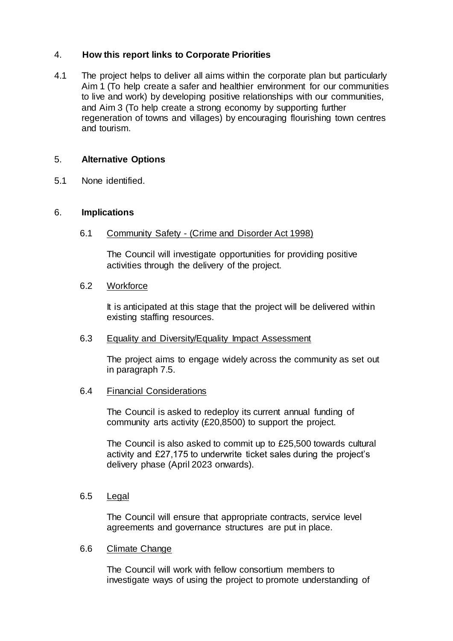# 4. **How this report links to Corporate Priorities**

4.1 The project helps to deliver all aims within the corporate plan but particularly Aim 1 (To help create a safer and healthier environment for our communities to live and work) by developing positive relationships with our communities, and Aim 3 (To help create a strong economy by supporting further regeneration of towns and villages) by encouraging flourishing town centres and tourism.

# 5. **Alternative Options**

5.1 None identified.

### 6. **Implications**

6.1 Community Safety - (Crime and Disorder Act 1998)

The Council will investigate opportunities for providing positive activities through the delivery of the project.

### 6.2 Workforce

It is anticipated at this stage that the project will be delivered within existing staffing resources.

#### 6.3 Equality and Diversity/Equality Impact Assessment

The project aims to engage widely across the community as set out in paragraph 7.5.

# 6.4 Financial Considerations

The Council is asked to redeploy its current annual funding of community arts activity (£20,8500) to support the project.

The Council is also asked to commit up to £25,500 towards cultural activity and £27,175 to underwrite ticket sales during the project's delivery phase (April 2023 onwards).

### 6.5 Legal

The Council will ensure that appropriate contracts, service level agreements and governance structures are put in place.

#### 6.6 Climate Change

The Council will work with fellow consortium members to investigate ways of using the project to promote understanding of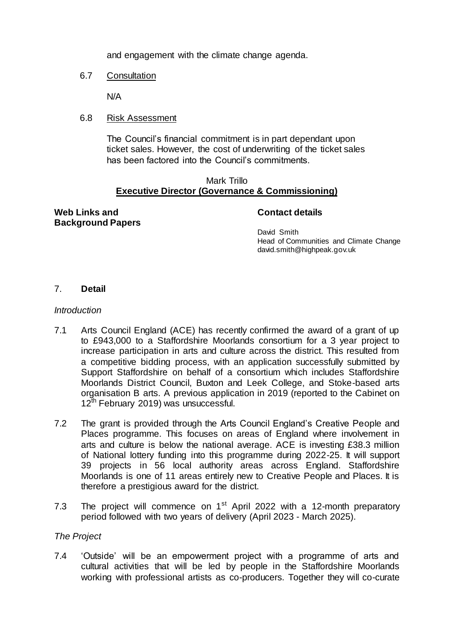and engagement with the climate change agenda.

6.7 Consultation

N/A

6.8 Risk Assessment

The Council's financial commitment is in part dependant upon ticket sales. However, the cost of underwriting of the ticket sales has been factored into the Council's commitments.

#### Mark Trillo **Executive Director (Governance & Commissioning)**

#### **Web Links and Background Papers**

### **Contact details**

David Smith Head of Communities and Climate Change david.smith@highpeak.gov.uk

# 7. **Detail**

### *Introduction*

- 7.1 Arts Council England (ACE) has recently confirmed the award of a grant of up to £943,000 to a Staffordshire Moorlands consortium for a 3 year project to increase participation in arts and culture across the district. This resulted from a competitive bidding process, with an application successfully submitted by Support Staffordshire on behalf of a consortium which includes Staffordshire Moorlands District Council, Buxton and Leek College, and Stoke-based arts organisation B arts. A previous application in 2019 (reported to the Cabinet on  $12<sup>th</sup>$  February 2019) was unsuccessful.
- 7.2 The grant is provided through the Arts Council England's Creative People and Places programme. This focuses on areas of England where involvement in arts and culture is below the national average. ACE is investing £38.3 million of National lottery funding into this programme during 2022-25. It will support 39 projects in 56 local authority areas across England. Staffordshire Moorlands is one of 11 areas entirely new to Creative People and Places. It is therefore a prestigious award for the district.
- 7.3 The project will commence on  $1<sup>st</sup>$  April 2022 with a 12-month preparatory period followed with two years of delivery (April 2023 - March 2025).

#### *The Project*

7.4 'Outside' will be an empowerment project with a programme of arts and cultural activities that will be led by people in the Staffordshire Moorlands working with professional artists as co-producers. Together they will co-curate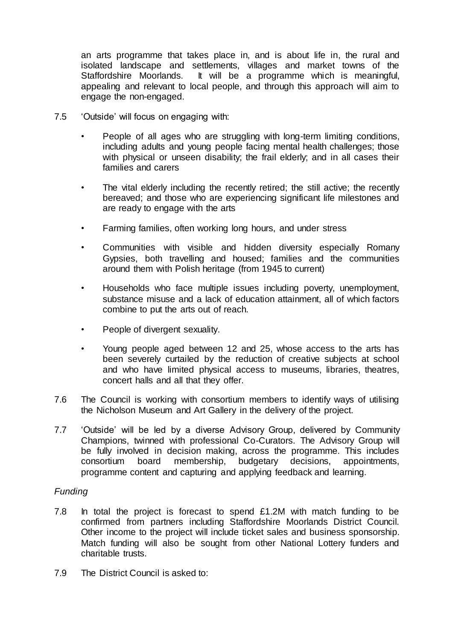an arts programme that takes place in, and is about life in, the rural and isolated landscape and settlements, villages and market towns of the Staffordshire Moorlands. It will be a programme which is meaningful, appealing and relevant to local people, and through this approach will aim to engage the non-engaged.

- 7.5 'Outside' will focus on engaging with:
	- People of all ages who are struggling with long-term limiting conditions, including adults and young people facing mental health challenges; those with physical or unseen disability; the frail elderly; and in all cases their families and carers
	- The vital elderly including the recently retired; the still active; the recently bereaved; and those who are experiencing significant life milestones and are ready to engage with the arts
	- Farming families, often working long hours, and under stress
	- Communities with visible and hidden diversity especially Romany Gypsies, both travelling and housed; families and the communities around them with Polish heritage (from 1945 to current)
	- Households who face multiple issues including poverty, unemployment, substance misuse and a lack of education attainment, all of which factors combine to put the arts out of reach.
	- People of divergent sexuality.
	- Young people aged between 12 and 25, whose access to the arts has been severely curtailed by the reduction of creative subjects at school and who have limited physical access to museums, libraries, theatres, concert halls and all that they offer.
- 7.6 The Council is working with consortium members to identify ways of utilising the Nicholson Museum and Art Gallery in the delivery of the project.
- 7.7 'Outside' will be led by a diverse Advisory Group, delivered by Community Champions, twinned with professional Co-Curators. The Advisory Group will be fully involved in decision making, across the programme. This includes consortium board membership, budgetary decisions, appointments, programme content and capturing and applying feedback and learning.

# *Funding*

- 7.8 In total the project is forecast to spend £1.2M with match funding to be confirmed from partners including Staffordshire Moorlands District Council. Other income to the project will include ticket sales and business sponsorship. Match funding will also be sought from other National Lottery funders and charitable trusts.
- 7.9 The District Council is asked to: